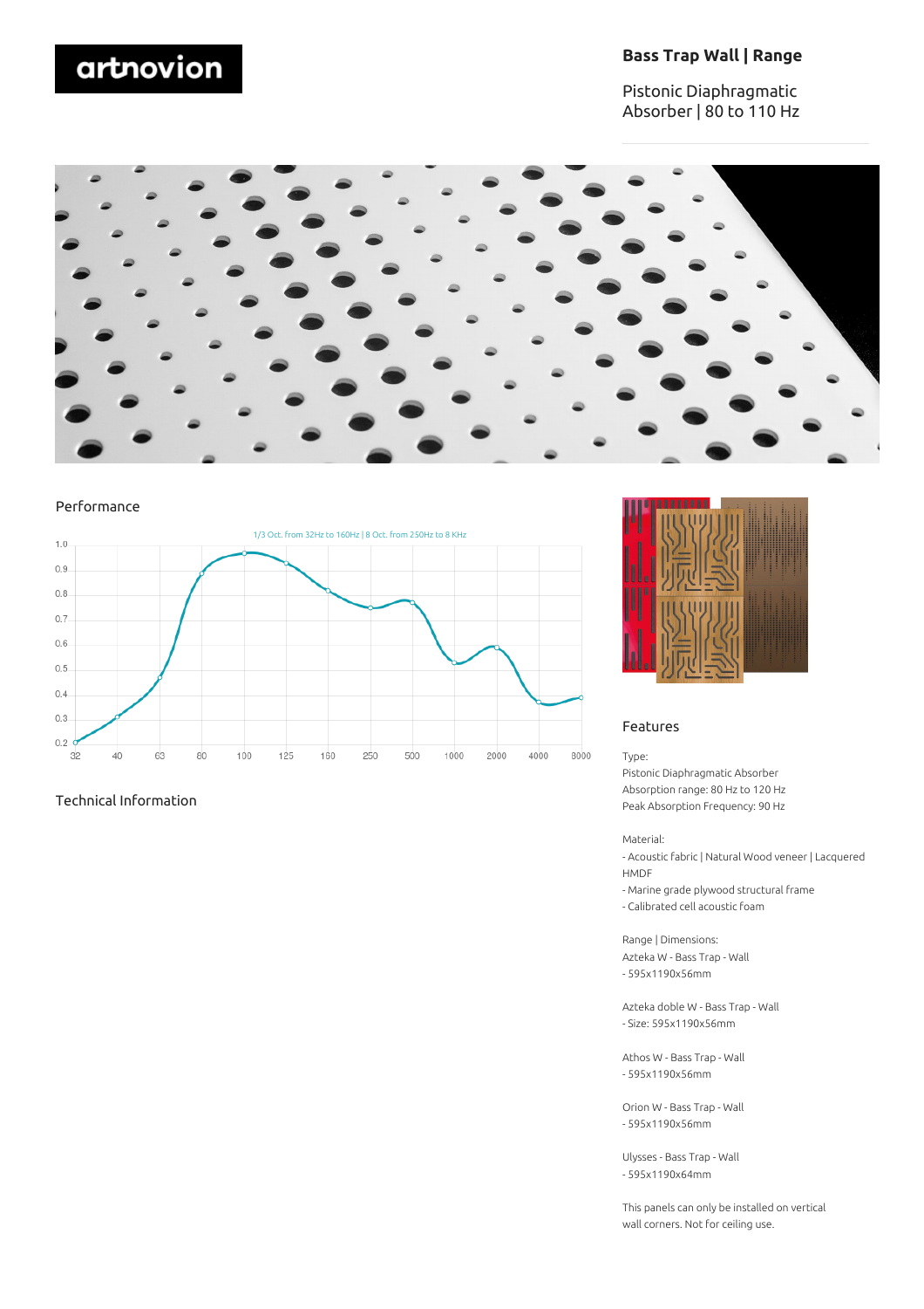# artnovion

### **Bass Trap Wall | Range**

Pistonic Diaphragmatic Absorber | 80 to 110 Hz



#### Performance



#### Technical Information



#### Features

#### Type:

Pistonic Diaphragmatic Absorber Absorption range: 80 Hz to 120 Hz Peak Absorption Frequency: 90 Hz

#### Material:

- Acoustic fabric | Natural Wood veneer | Lacquered HMDF

- Marine grade plywood structural frame
- Calibrated cell acoustic foam

Range | Dimensions: Azteka W - Bass Trap - Wall - 595x1190x56mm

Azteka doble W - Bass Trap - Wall - Size: 595x1190x56mm

Athos W - Bass Trap - Wall - 595x1190x56mm

Orion W - Bass Trap - Wall - 595x1190x56mm

Ulysses - Bass Trap - Wall - 595x1190x64mm

This panels can only be installed on vertical wall corners. Not for ceiling use.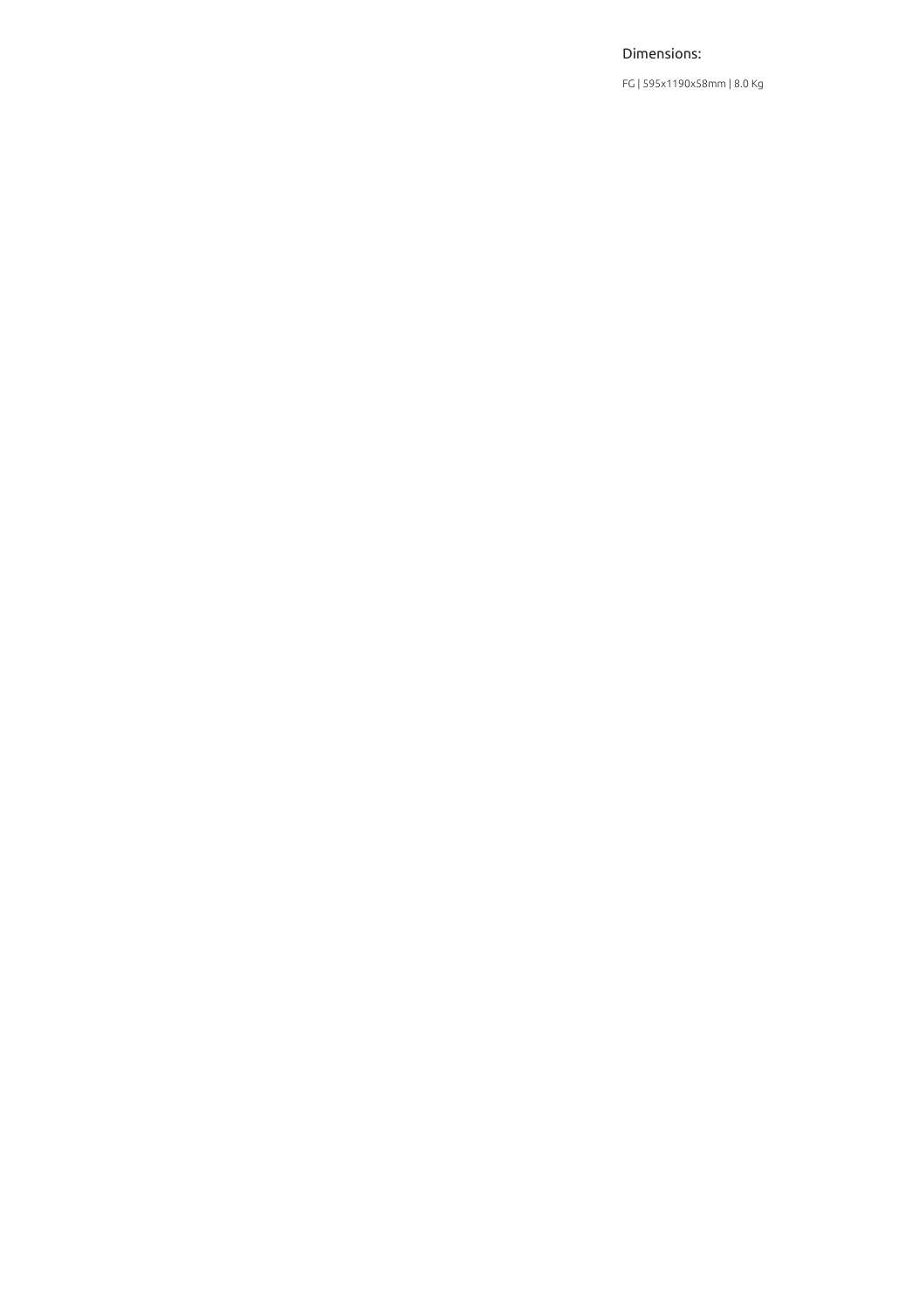#### Dimensions:

FG | 595x1190x58mm | 8.0 Kg